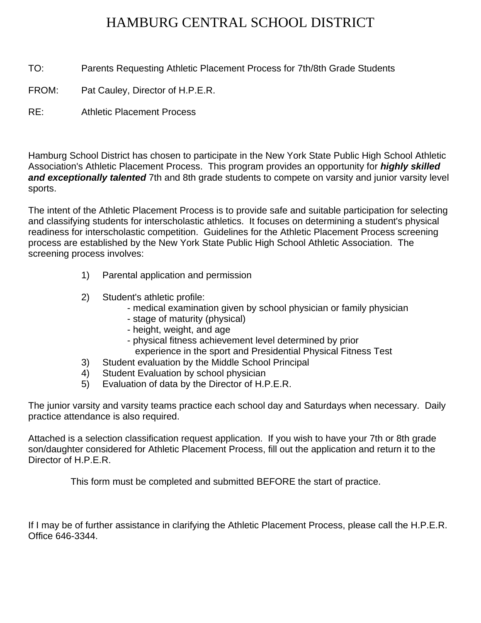## HAMBURG CENTRAL SCHOOL DISTRICT

TO: Parents Requesting Athletic Placement Process for 7th/8th Grade Students

FROM: Pat Cauley, Director of H.P.E.R.

RE: Athletic Placement Process

Hamburg School District has chosen to participate in the New York State Public High School Athletic Association's Athletic Placement Process. This program provides an opportunity for *highly skilled and exceptionally talented* 7th and 8th grade students to compete on varsity and junior varsity level sports.

The intent of the Athletic Placement Process is to provide safe and suitable participation for selecting and classifying students for interscholastic athletics. It focuses on determining a student's physical readiness for interscholastic competition. Guidelines for the Athletic Placement Process screening process are established by the New York State Public High School Athletic Association. The screening process involves:

- 1) Parental application and permission
- 2) Student's athletic profile:
	- medical examination given by school physician or family physician
	- stage of maturity (physical)
	- height, weight, and age
	- physical fitness achievement level determined by prior
	- experience in the sport and Presidential Physical Fitness Test
- 3) Student evaluation by the Middle School Principal
- 4) Student Evaluation by school physician
- 5) Evaluation of data by the Director of H.P.E.R.

The junior varsity and varsity teams practice each school day and Saturdays when necessary. Daily practice attendance is also required.

Attached is a selection classification request application. If you wish to have your 7th or 8th grade son/daughter considered for Athletic Placement Process, fill out the application and return it to the Director of H.P.E.R.

This form must be completed and submitted BEFORE the start of practice.

If I may be of further assistance in clarifying the Athletic Placement Process, please call the H.P.E.R. Office 646-3344.